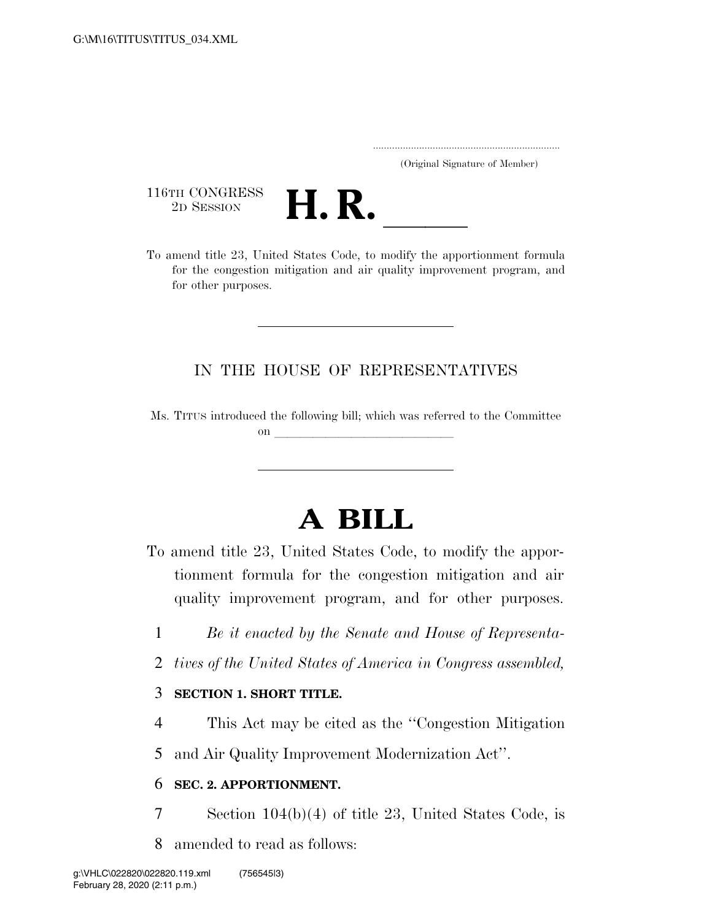..................................................................... (Original Signature of Member)

116TH CONGRESS<br>2D SESSION



116TH CONGRESS<br>
2D SESSION<br>
To amend title 23, United States Code, to modify the apportionment formula for the congestion mitigation and air quality improvement program, and for other purposes.

## IN THE HOUSE OF REPRESENTATIVES

Ms. TITUS introduced the following bill; which was referred to the Committee on  $\overline{\qquad \qquad }$ 

## **A BILL**

To amend title 23, United States Code, to modify the apportionment formula for the congestion mitigation and air quality improvement program, and for other purposes.

- 1 *Be it enacted by the Senate and House of Representa-*
- 2 *tives of the United States of America in Congress assembled,*

## 3 **SECTION 1. SHORT TITLE.**

4 This Act may be cited as the ''Congestion Mitigation

5 and Air Quality Improvement Modernization Act''.

## 6 **SEC. 2. APPORTIONMENT.**

- 7 Section 104(b)(4) of title 23, United States Code, is
- 8 amended to read as follows: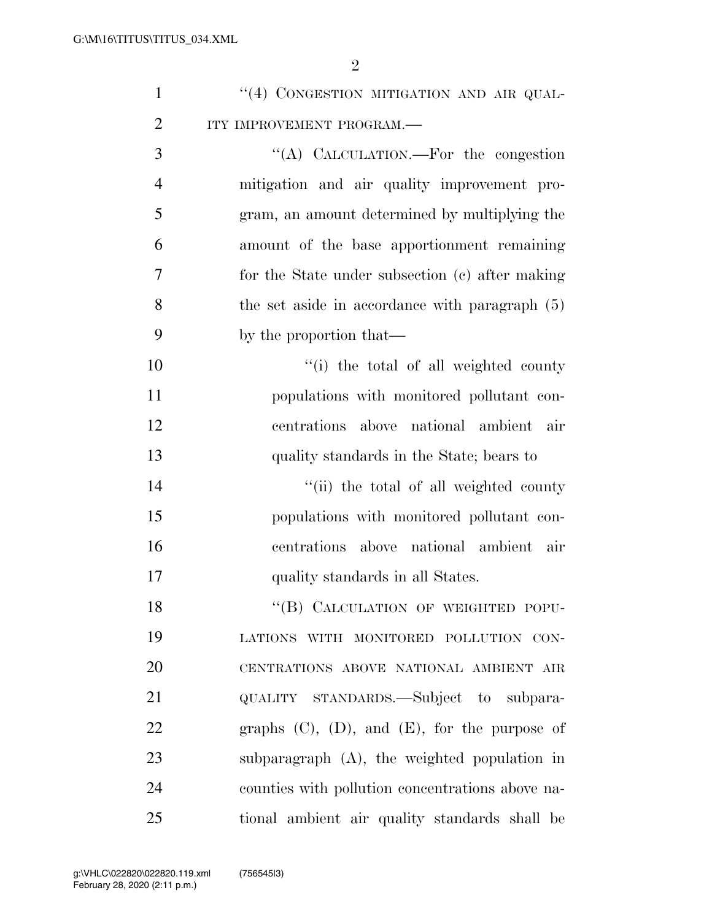| $\mathbf{1}$   | "(4) CONGESTION MITIGATION AND AIR QUAL-              |
|----------------|-------------------------------------------------------|
| $\overline{2}$ | ITY IMPROVEMENT PROGRAM.-                             |
| 3              | "(A) CALCULATION.—For the congestion                  |
| $\overline{4}$ | mitigation and air quality improvement pro-           |
| 5              | gram, an amount determined by multiplying the         |
| 6              | amount of the base apportionment remaining            |
| 7              | for the State under subsection (c) after making       |
| 8              | the set aside in accordance with paragraph (5)        |
| 9              | by the proportion that—                               |
| 10             | "(i) the total of all weighted county                 |
| 11             | populations with monitored pollutant con-             |
| 12             | centrations above national ambient air                |
| 13             | quality standards in the State; bears to              |
| 14             | "(ii) the total of all weighted county                |
| 15             | populations with monitored pollutant con-             |
| 16             | centrations above national ambient air                |
| 17             | quality standards in all States.                      |
| 18             | "(B) CALCULATION OF WEIGHTED POPU-                    |
| 19             | LATIONS WITH MONITORED POLLUTION CON-                 |
| 20             | CENTRATIONS ABOVE NATIONAL AMBIENT AIR                |
| 21             | QUALITY STANDARDS.—Subject to subpara-                |
| 22             | graphs $(C)$ , $(D)$ , and $(E)$ , for the purpose of |
| 23             | subparagraph (A), the weighted population in          |
| 24             | counties with pollution concentrations above na-      |
| 25             | tional ambient air quality standards shall be         |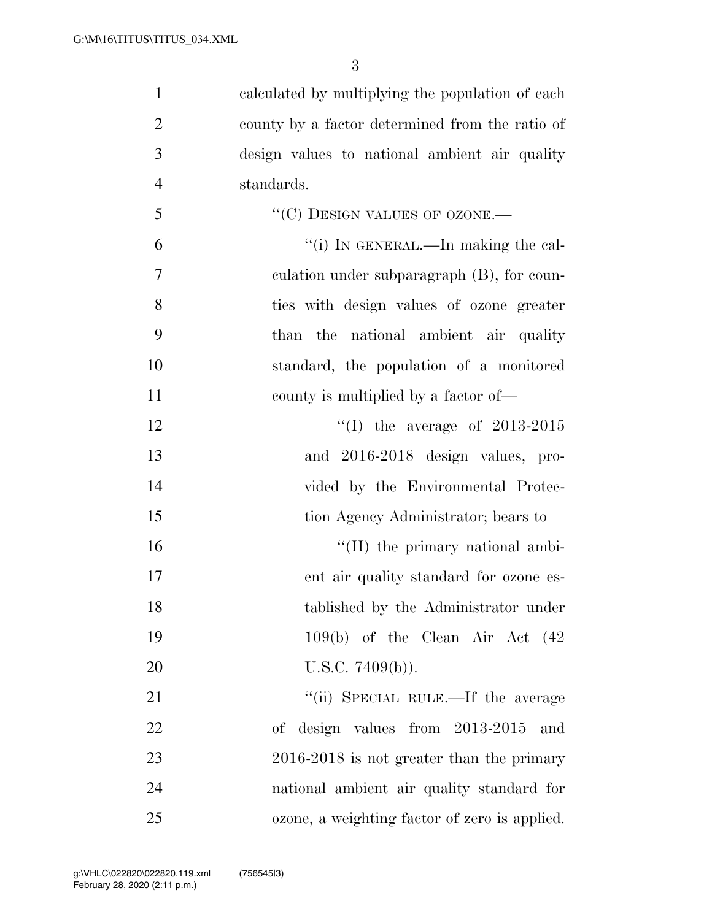| $\mathbf{1}$   | calculated by multiplying the population of each |
|----------------|--------------------------------------------------|
| $\overline{2}$ | county by a factor determined from the ratio of  |
| 3              | design values to national ambient air quality    |
| $\overline{4}$ | standards.                                       |
| 5              | "(C) DESIGN VALUES OF OZONE.-                    |
| 6              | "(i) IN GENERAL.—In making the cal-              |
| 7              | eulation under subparagraph (B), for coun-       |
| 8              | ties with design values of ozone greater         |
| 9              | than the national ambient air quality            |
| 10             | standard, the population of a monitored          |
| 11             | county is multiplied by a factor of—             |
| 12             | "(I) the average of $2013-2015$                  |
| 13             | and 2016-2018 design values, pro-                |
| 14             | vided by the Environmental Protec-               |
| 15             | tion Agency Administrator; bears to              |
| 16             | "(II) the primary national ambi-                 |
| 17             | ent air quality standard for ozone es-           |
| 18             | tablished by the Administrator under             |
| 19             | $109(b)$ of the Clean Air Act $(42)$             |
| 20             | U.S.C. $7409(b)$ ).                              |
| 21             | "(ii) SPECIAL RULE.—If the average               |
| 22             | design values from $2013-2015$<br>of<br>and      |
| 23             | $2016-2018$ is not greater than the primary      |
| 24             | national ambient air quality standard for        |
| 25             | ozone, a weighting factor of zero is applied.    |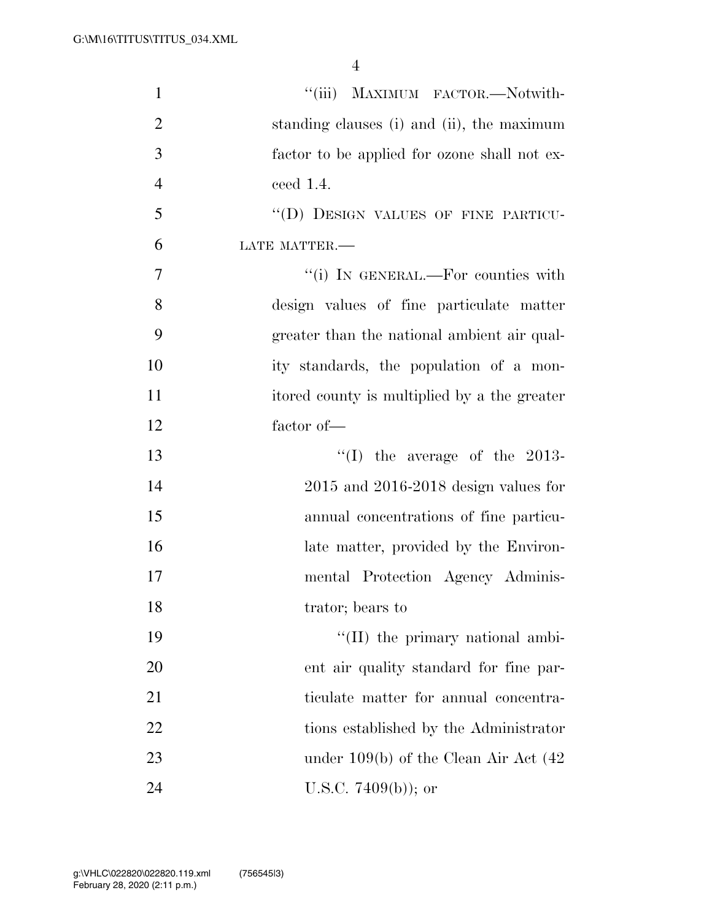| $\mathbf{1}$   | "(iii) MAXIMUM FACTOR.—Notwith-              |
|----------------|----------------------------------------------|
| $\overline{2}$ | standing clauses (i) and (ii), the maximum   |
| 3              | factor to be applied for ozone shall not ex- |
| $\overline{4}$ | ceed $1.4$ .                                 |
| 5              | "(D) DESIGN VALUES OF FINE PARTICU-          |
| 6              | LATE MATTER.-                                |
| 7              | "(i) IN GENERAL.—For counties with           |
| 8              | design values of fine particulate matter     |
| 9              | greater than the national ambient air qual-  |
| 10             | ity standards, the population of a mon-      |
| 11             | itored county is multiplied by a the greater |
| 12             | factor of-                                   |
| 13             | "(I) the average of the 2013-                |
| 14             | $2015$ and $2016-2018$ design values for     |
| 15             | annual concentrations of fine particu-       |
| 16             | late matter, provided by the Environ-        |
| 17             | mental Protection Agency Adminis-            |
| 18             | trator; bears to                             |
| 19             | "(II) the primary national ambi-             |
| 20             | ent air quality standard for fine par-       |
| 21             | ticulate matter for annual concentra-        |
| 22             | tions established by the Administrator       |
| 23             | under $109(b)$ of the Clean Air Act $(42)$   |
| 24             | U.S.C. 7409 $(b)$ ; or                       |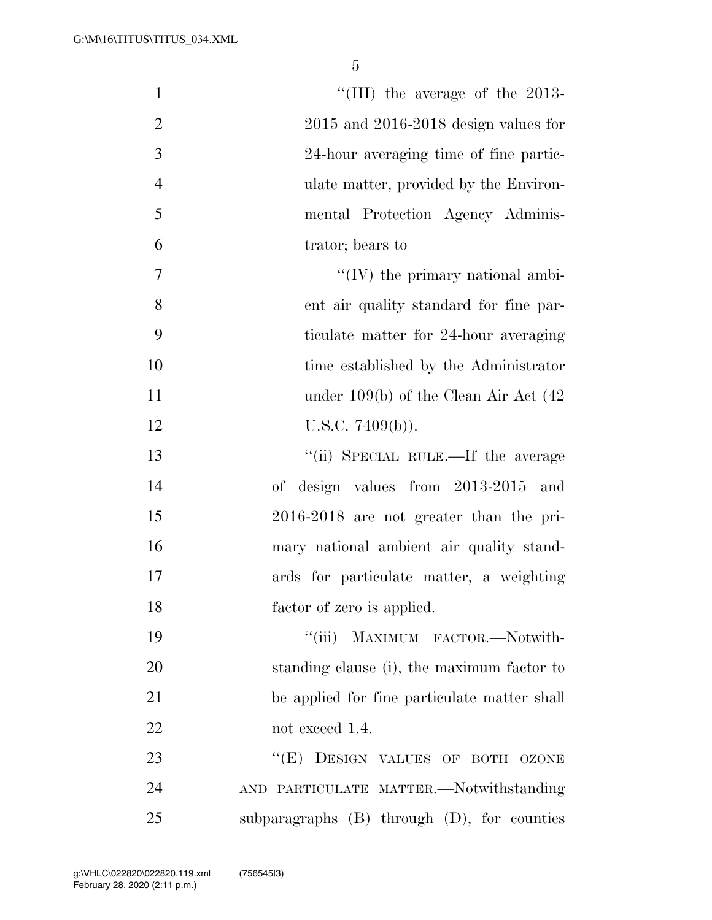| $\mathbf{1}$   | "(III) the average of the $2013$ -               |
|----------------|--------------------------------------------------|
| $\overline{2}$ | $2015$ and $2016-2018$ design values for         |
| 3              | 24-hour averaging time of fine partic-           |
| $\overline{4}$ | ulate matter, provided by the Environ-           |
| 5              | mental Protection Agency Adminis-                |
| 6              | trator; bears to                                 |
| $\overline{7}$ | $\lq\lq$ (IV) the primary national ambi-         |
| 8              | ent air quality standard for fine par-           |
| 9              | ticulate matter for 24-hour averaging            |
| 10             | time established by the Administrator            |
| 11             | under $109(b)$ of the Clean Air Act $(42)$       |
| 12             | U.S.C. $7409(b)$ ).                              |
| 13             | "(ii) SPECIAL RULE.—If the average               |
| 14             | of design values from 2013-2015<br>and           |
| 15             | $2016-2018$ are not greater than the pri-        |
| 16             | mary national ambient air quality stand-         |
| 17             | ards for particulate matter, a weighting         |
| 18             | factor of zero is applied.                       |
| 19             | "(iii) MAXIMUM FACTOR.-Notwith-                  |
| 20             | standing clause (i), the maximum factor to       |
| 21             | be applied for fine particulate matter shall     |
| 22             | not exceed 1.4.                                  |
| 23             | ``(E)<br>DESIGN VALUES OF BOTH OZONE             |
| 24             | AND PARTICULATE MATTER.-Notwithstanding          |
| 25             | subparagraphs $(B)$ through $(D)$ , for counties |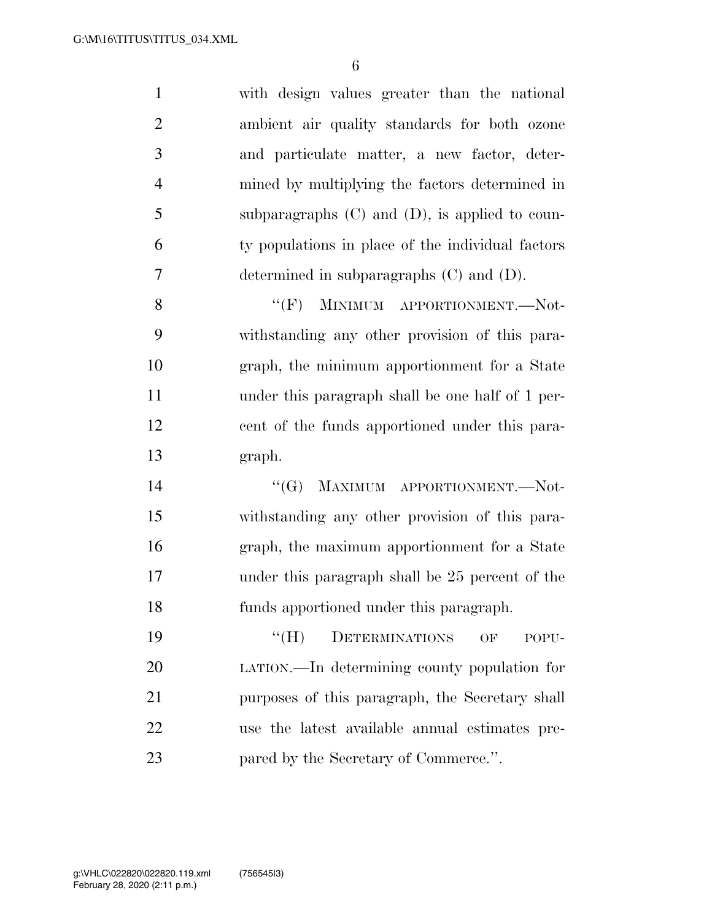with design values greater than the national ambient air quality standards for both ozone and particulate matter, a new factor, deter- mined by multiplying the factors determined in subparagraphs (C) and (D), is applied to coun- ty populations in place of the individual factors determined in subparagraphs (C) and (D).

8 "(F) MINIMUM APPORTIONMENT.—Not- withstanding any other provision of this para- graph, the minimum apportionment for a State under this paragraph shall be one half of 1 per- cent of the funds apportioned under this para-graph.

14 "(G) MAXIMUM APPORTIONMENT.—Not- withstanding any other provision of this para- graph, the maximum apportionment for a State under this paragraph shall be 25 percent of the funds apportioned under this paragraph.

19 "(H) DETERMINATIONS OF POPU- LATION.—In determining county population for purposes of this paragraph, the Secretary shall use the latest available annual estimates pre-**pared by the Secretary of Commerce.**".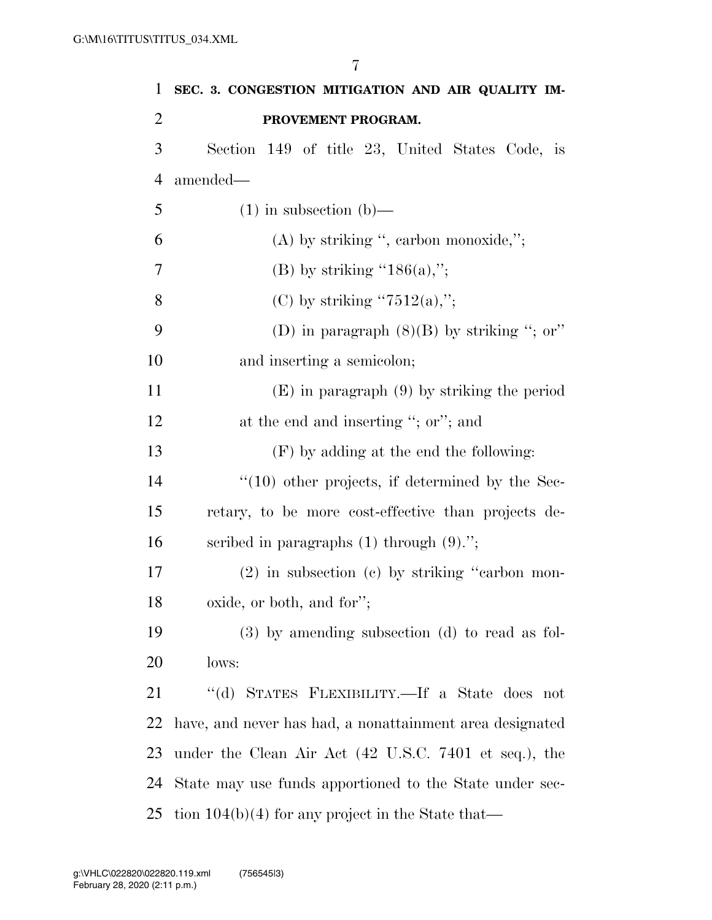| $\mathbf{1}$   | SEC. 3. CONGESTION MITIGATION AND AIR QUALITY IM-        |
|----------------|----------------------------------------------------------|
| $\overline{2}$ | PROVEMENT PROGRAM.                                       |
| 3              | Section 149 of title 23, United States Code, is          |
| $\overline{4}$ | amended—                                                 |
| 5              | $(1)$ in subsection $(b)$ —                              |
| 6              | $(A)$ by striking ", earbon monoxide,";                  |
| 7              | (B) by striking "186(a),";                               |
| 8              | (C) by striking " $7512(a)$ ,";                          |
| 9              | (D) in paragraph $(8)(B)$ by striking "; or"             |
| 10             | and inserting a semicolon;                               |
| 11             | $(E)$ in paragraph $(9)$ by striking the period          |
| 12             | at the end and inserting "; or"; and                     |
| 13             | $(F)$ by adding at the end the following:                |
| 14             | $``(10)$ other projects, if determined by the Sec-       |
| 15             | retary, to be more cost-effective than projects de-      |
| 16             | scribed in paragraphs $(1)$ through $(9)$ .";            |
| 17             | $(2)$ in subsection $(c)$ by striking "carbon mon-       |
| 18             | oxide, or both, and for";                                |
| 19             | $(3)$ by amending subsection $(d)$ to read as fol-       |
| 20             | lows:                                                    |
| 21             | "(d) STATES FLEXIBILITY.—If a State does not             |
| 22             | have, and never has had, a nonattainment area designated |
| 23             | under the Clean Air Act (42 U.S.C. 7401 et seq.), the    |
| 24             | State may use funds apportioned to the State under sec-  |
| 25             | tion $104(b)(4)$ for any project in the State that—      |